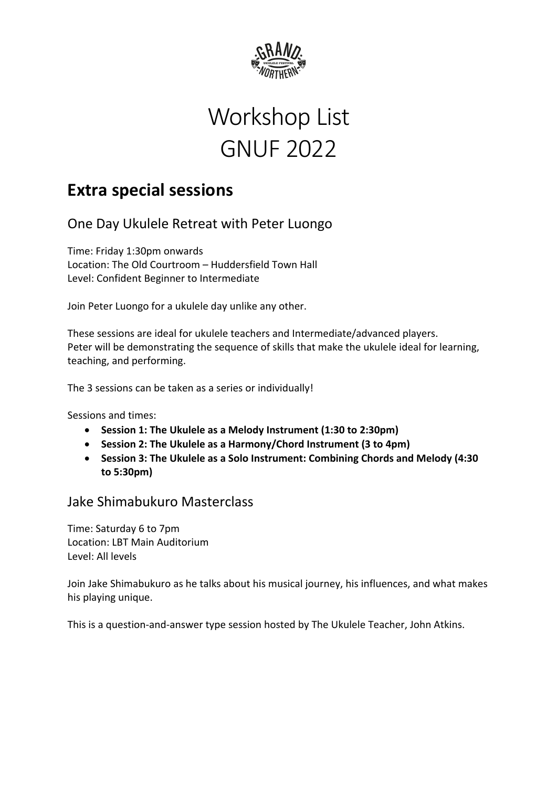

# Workshop List GNUF 2022

## **Extra special sessions**

One Day Ukulele Retreat with Peter Luongo

Time: Friday 1:30pm onwards Location: The Old Courtroom – Huddersfield Town Hall Level: Confident Beginner to Intermediate

Join Peter Luongo for a ukulele day unlike any other.

These sessions are ideal for ukulele teachers and Intermediate/advanced players. Peter will be demonstrating the sequence of skills that make the ukulele ideal for learning, teaching, and performing.

The 3 sessions can be taken as a series or individually!

Sessions and times:

- **Session 1: The Ukulele as a Melody Instrument (1:30 to 2:30pm)**
- **Session 2: The Ukulele as a Harmony/Chord Instrument (3 to 4pm)**
- **Session 3: The Ukulele as a Solo Instrument: Combining Chords and Melody (4:30 to 5:30pm)**

### Jake Shimabukuro Masterclass

Time: Saturday 6 to 7pm Location: LBT Main Auditorium Level: All levels

Join Jake Shimabukuro as he talks about his musical journey, his influences, and what makes his playing unique.

This is a question-and-answer type session hosted by The Ukulele Teacher, John Atkins.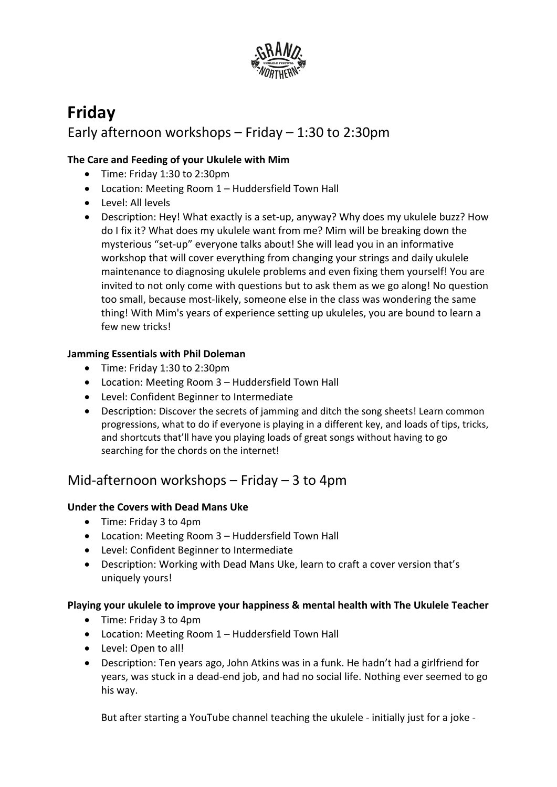

## **Friday** Early afternoon workshops – Friday – 1:30 to 2:30pm

#### **The Care and Feeding of your Ukulele with Mim**

- Time: Friday 1:30 to 2:30pm
- Location: Meeting Room 1 Huddersfield Town Hall
- Level: All levels
- Description: Hey! What exactly is a set-up, anyway? Why does my ukulele buzz? How do I fix it? What does my ukulele want from me? Mim will be breaking down the mysterious "set-up" everyone talks about! She will lead you in an informative workshop that will cover everything from changing your strings and daily ukulele maintenance to diagnosing ukulele problems and even fixing them yourself! You are invited to not only come with questions but to ask them as we go along! No question too small, because most-likely, someone else in the class was wondering the same thing! With Mim's years of experience setting up ukuleles, you are bound to learn a few new tricks!

#### **Jamming Essentials with Phil Doleman**

- Time: Friday 1:30 to 2:30pm
- Location: Meeting Room 3 Huddersfield Town Hall
- Level: Confident Beginner to Intermediate
- Description: Discover the secrets of jamming and ditch the song sheets! Learn common progressions, what to do if everyone is playing in a different key, and loads of tips, tricks, and shortcuts that'll have you playing loads of great songs without having to go searching for the chords on the internet!

## Mid-afternoon workshops – Friday – 3 to 4pm

#### **Under the Covers with Dead Mans Uke**

- Time: Friday 3 to 4pm
- Location: Meeting Room 3 Huddersfield Town Hall
- Level: Confident Beginner to Intermediate
- Description: Working with Dead Mans Uke, learn to craft a cover version that's uniquely yours!

#### **Playing your ukulele to improve your happiness & mental health with The Ukulele Teacher**

- Time: Friday 3 to 4pm
- Location: Meeting Room 1 Huddersfield Town Hall
- Level: Open to all!
- Description: Ten years ago, John Atkins was in a funk. He hadn't had a girlfriend for years, was stuck in a dead-end job, and had no social life. Nothing ever seemed to go his way.

But after starting a YouTube channel teaching the ukulele - initially just for a joke -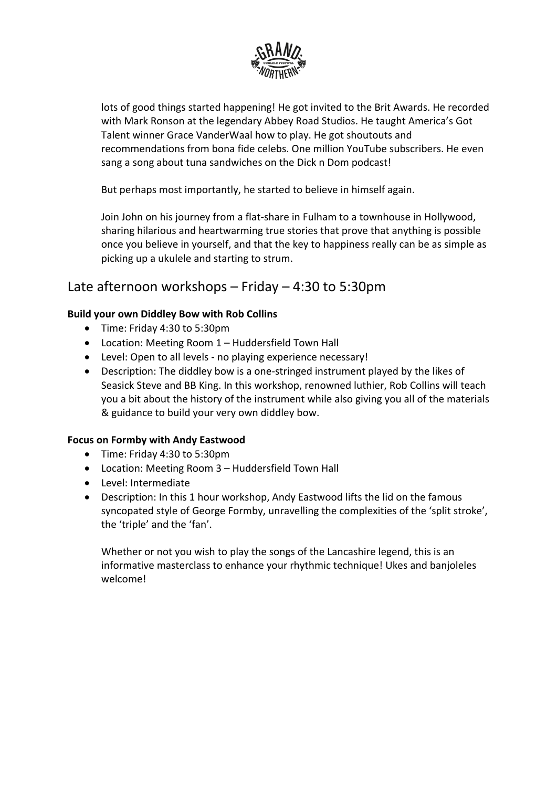

lots of good things started happening! He got invited to the Brit Awards. He recorded with Mark Ronson at the legendary Abbey Road Studios. He taught America's Got Talent winner Grace VanderWaal how to play. He got shoutouts and recommendations from bona fide celebs. One million YouTube subscribers. He even sang a song about tuna sandwiches on the Dick n Dom podcast!

But perhaps most importantly, he started to believe in himself again.

Join John on his journey from a flat-share in Fulham to a townhouse in Hollywood, sharing hilarious and heartwarming true stories that prove that anything is possible once you believe in yourself, and that the key to happiness really can be as simple as picking up a ukulele and starting to strum.

## Late afternoon workshops – Friday – 4:30 to 5:30pm

#### **Build your own Diddley Bow with Rob Collins**

- Time: Friday 4:30 to 5:30pm
- Location: Meeting Room 1 Huddersfield Town Hall
- Level: Open to all levels no playing experience necessary!
- Description: The diddley bow is a one-stringed instrument played by the likes of Seasick Steve and BB King. In this workshop, renowned luthier, Rob Collins will teach you a bit about the history of the instrument while also giving you all of the materials & guidance to build your very own diddley bow.

#### **Focus on Formby with Andy Eastwood**

- Time: Friday 4:30 to 5:30pm
- Location: Meeting Room 3 Huddersfield Town Hall
- Level: Intermediate
- Description: In this 1 hour workshop, Andy Eastwood lifts the lid on the famous syncopated style of George Formby, unravelling the complexities of the 'split stroke', the 'triple' and the 'fan'.

Whether or not you wish to play the songs of the Lancashire legend, this is an informative masterclass to enhance your rhythmic technique! Ukes and banjoleles welcome!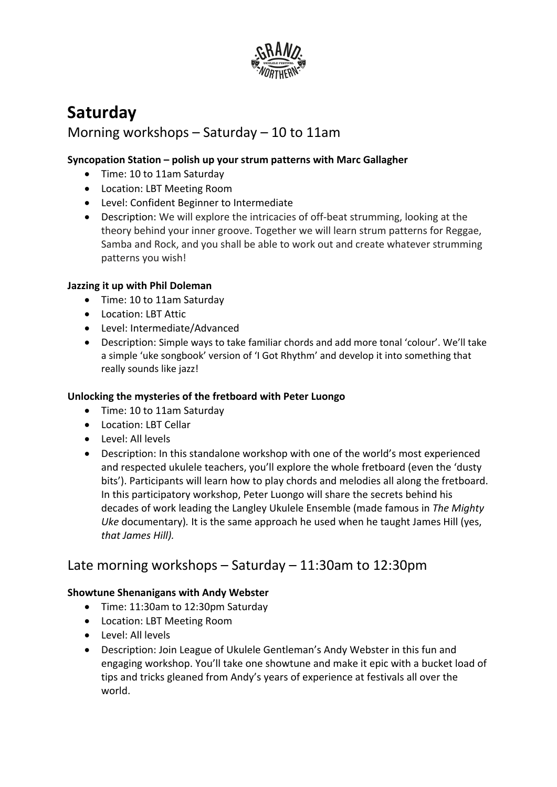

## **Saturday**

## Morning workshops – Saturday – 10 to 11am

#### **Syncopation Station – polish up your strum patterns with Marc Gallagher**

- Time: 10 to 11am Saturday
- Location: LBT Meeting Room
- Level: Confident Beginner to Intermediate
- Description: We will explore the intricacies of off-beat strumming, looking at the theory behind your inner groove. Together we will learn strum patterns for Reggae, Samba and Rock, and you shall be able to work out and create whatever strumming patterns you wish!

#### **Jazzing it up with Phil Doleman**

- Time: 10 to 11am Saturday
- Location: LBT Attic
- Level: Intermediate/Advanced
- Description: Simple ways to take familiar chords and add more tonal 'colour'. We'll take a simple 'uke songbook' version of 'I Got Rhythm' and develop it into something that really sounds like jazz!

#### **Unlocking the mysteries of the fretboard with Peter Luongo**

- Time: 10 to 11am Saturday
- Location: LBT Cellar
- Level: All levels
- Description: In this standalone workshop with one of the world's most experienced and respected ukulele teachers, you'll explore the whole fretboard (even the 'dusty bits'). Participants will learn how to play chords and melodies all along the fretboard. In this participatory workshop, Peter Luongo will share the secrets behind his decades of work leading the Langley Ukulele Ensemble (made famous in *The Mighty Uke* documentary)*.* It is the same approach he used when he taught James Hill (yes, *that James Hill).*

### Late morning workshops – Saturday – 11:30am to 12:30pm

#### **Showtune Shenanigans with Andy Webster**

- Time: 11:30am to 12:30pm Saturday
- Location: LBT Meeting Room
- Level: All levels
- Description: Join League of Ukulele Gentleman's Andy Webster in this fun and engaging workshop. You'll take one showtune and make it epic with a bucket load of tips and tricks gleaned from Andy's years of experience at festivals all over the world.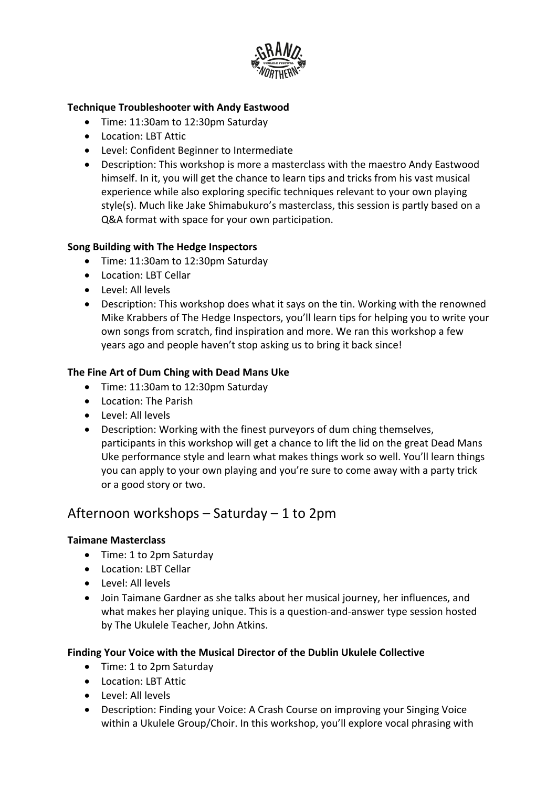

#### **Technique Troubleshooter with Andy Eastwood**

- Time: 11:30am to 12:30pm Saturday
- Location: LBT Attic
- Level: Confident Beginner to Intermediate
- Description: This workshop is more a masterclass with the maestro Andy Eastwood himself. In it, you will get the chance to learn tips and tricks from his vast musical experience while also exploring specific techniques relevant to your own playing style(s). Much like Jake Shimabukuro's masterclass, this session is partly based on a Q&A format with space for your own participation.

#### **Song Building with The Hedge Inspectors**

- Time: 11:30am to 12:30pm Saturday
- Location: LBT Cellar
- Level: All levels
- Description: This workshop does what it says on the tin. Working with the renowned Mike Krabbers of The Hedge Inspectors, you'll learn tips for helping you to write your own songs from scratch, find inspiration and more. We ran this workshop a few years ago and people haven't stop asking us to bring it back since!

#### **The Fine Art of Dum Ching with Dead Mans Uke**

- Time: 11:30am to 12:30pm Saturday
- Location: The Parish
- Level: All levels
- Description: Working with the finest purveyors of dum ching themselves, participants in this workshop will get a chance to lift the lid on the great Dead Mans Uke performance style and learn what makes things work so well. You'll learn things you can apply to your own playing and you're sure to come away with a party trick or a good story or two.

### Afternoon workshops – Saturday – 1 to 2pm

#### **Taimane Masterclass**

- Time: 1 to 2pm Saturday
- Location: LBT Cellar
- Level: All levels
- Join Taimane Gardner as she talks about her musical journey, her influences, and what makes her playing unique. This is a question-and-answer type session hosted by The Ukulele Teacher, John Atkins.

#### **Finding Your Voice with the Musical Director of the Dublin Ukulele Collective**

- Time: 1 to 2pm Saturday
- Location: LBT Attic
- Level: All levels
- Description: Finding your Voice: A Crash Course on improving your Singing Voice within a Ukulele Group/Choir. In this workshop, you'll explore vocal phrasing with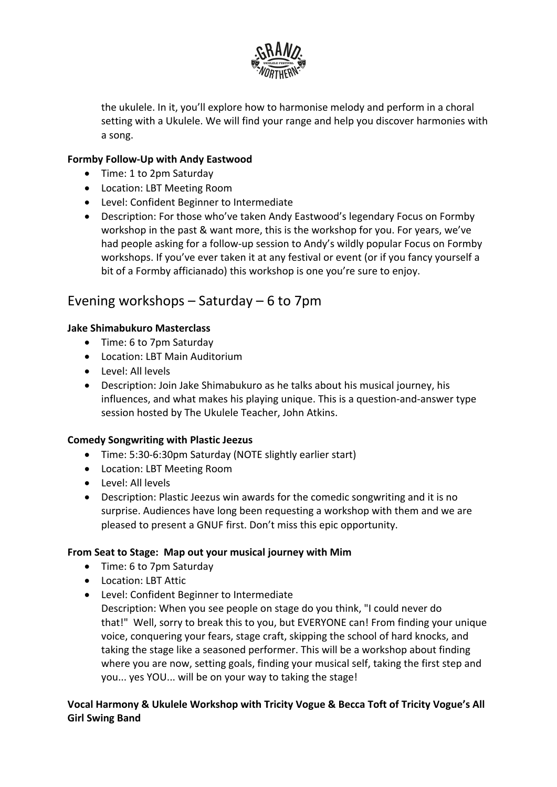

the ukulele. In it, you'll explore how to harmonise melody and perform in a choral setting with a Ukulele. We will find your range and help you discover harmonies with a song.

#### **Formby Follow-Up with Andy Eastwood**

- Time: 1 to 2pm Saturday
- Location: LBT Meeting Room
- Level: Confident Beginner to Intermediate
- Description: For those who've taken Andy Eastwood's legendary Focus on Formby workshop in the past & want more, this is the workshop for you. For years, we've had people asking for a follow-up session to Andy's wildly popular Focus on Formby workshops. If you've ever taken it at any festival or event (or if you fancy yourself a bit of a Formby afficianado) this workshop is one you're sure to enjoy.

### Evening workshops – Saturday – 6 to 7pm

#### **Jake Shimabukuro Masterclass**

- Time: 6 to 7pm Saturday
- Location: LBT Main Auditorium
- Level: All levels
- Description: Join Jake Shimabukuro as he talks about his musical journey, his influences, and what makes his playing unique. This is a question-and-answer type session hosted by The Ukulele Teacher, John Atkins.

#### **Comedy Songwriting with Plastic Jeezus**

- Time: 5:30-6:30pm Saturday (NOTE slightly earlier start)
- Location: LBT Meeting Room
- Level: All levels
- Description: Plastic Jeezus win awards for the comedic songwriting and it is no surprise. Audiences have long been requesting a workshop with them and we are pleased to present a GNUF first. Don't miss this epic opportunity.

#### **From Seat to Stage: Map out your musical journey with Mim**

- Time: 6 to 7pm Saturday
- Location: LBT Attic
- Level: Confident Beginner to Intermediate
	- Description: When you see people on stage do you think, "I could never do that!" Well, sorry to break this to you, but EVERYONE can! From finding your unique voice, conquering your fears, stage craft, skipping the school of hard knocks, and taking the stage like a seasoned performer. This will be a workshop about finding where you are now, setting goals, finding your musical self, taking the first step and you... yes YOU... will be on your way to taking the stage!

#### **Vocal Harmony & Ukulele Workshop with Tricity Vogue & Becca Toft of Tricity Vogue's All Girl Swing Band**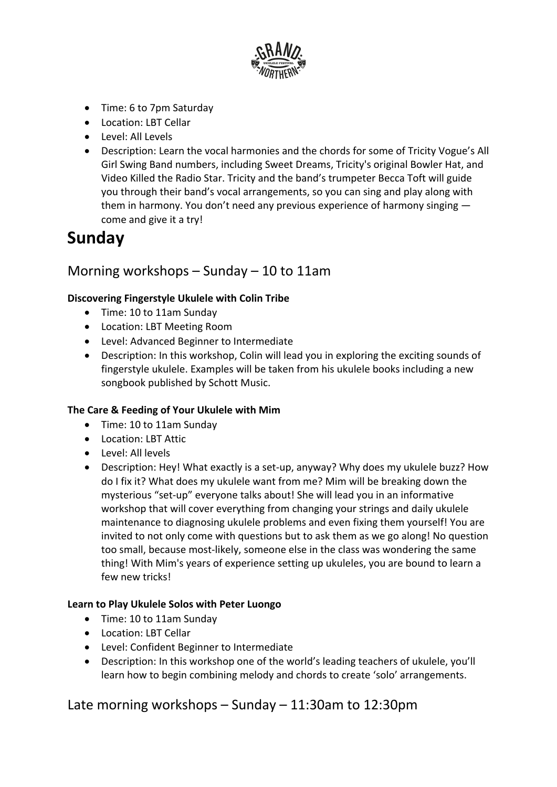

- Time: 6 to 7pm Saturday
- Location: LBT Cellar
- Level: All Levels
- Description: Learn the vocal harmonies and the chords for some of Tricity Vogue's All Girl Swing Band numbers, including Sweet Dreams, Tricity's original Bowler Hat, and Video Killed the Radio Star. Tricity and the band's trumpeter Becca Toft will guide you through their band's vocal arrangements, so you can sing and play along with them in harmony. You don't need any previous experience of harmony singing come and give it a try!

## **Sunday**

## Morning workshops – Sunday – 10 to 11am

#### **Discovering Fingerstyle Ukulele with Colin Tribe**

- Time: 10 to 11am Sunday
- Location: LBT Meeting Room
- Level: Advanced Beginner to Intermediate
- Description: In this workshop, Colin will lead you in exploring the exciting sounds of fingerstyle ukulele. Examples will be taken from his ukulele books including a new songbook published by Schott Music.

#### **The Care & Feeding of Your Ukulele with Mim**

- Time: 10 to 11am Sunday
- Location: LBT Attic
- Level: All levels
- Description: Hey! What exactly is a set-up, anyway? Why does my ukulele buzz? How do I fix it? What does my ukulele want from me? Mim will be breaking down the mysterious "set-up" everyone talks about! She will lead you in an informative workshop that will cover everything from changing your strings and daily ukulele maintenance to diagnosing ukulele problems and even fixing them yourself! You are invited to not only come with questions but to ask them as we go along! No question too small, because most-likely, someone else in the class was wondering the same thing! With Mim's years of experience setting up ukuleles, you are bound to learn a few new tricks!

#### **Learn to Play Ukulele Solos with Peter Luongo**

- Time: 10 to 11am Sunday
- Location: LBT Cellar
- Level: Confident Beginner to Intermediate
- Description: In this workshop one of the world's leading teachers of ukulele, you'll learn how to begin combining melody and chords to create 'solo' arrangements.

Late morning workshops – Sunday – 11:30am to 12:30pm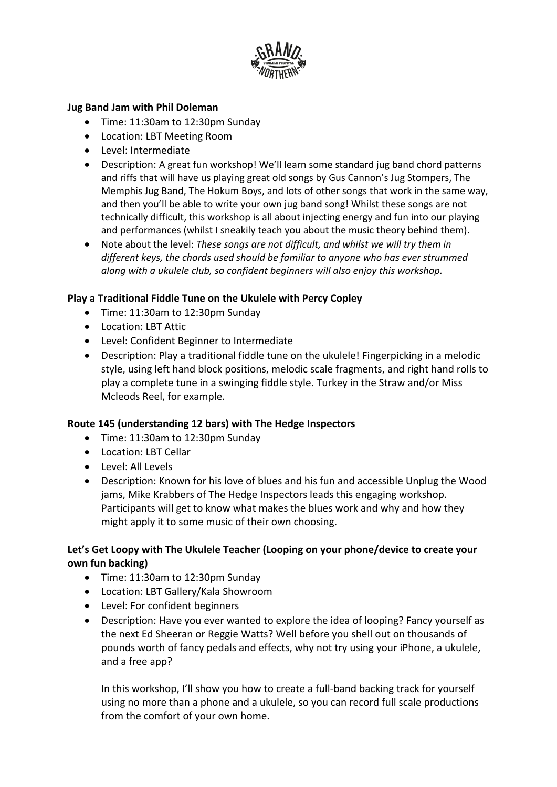

#### **Jug Band Jam with Phil Doleman**

- Time: 11:30am to 12:30pm Sunday
- Location: LBT Meeting Room
- Level: Intermediate
- Description: A great fun workshop! We'll learn some standard jug band chord patterns and riffs that will have us playing great old songs by Gus Cannon's Jug Stompers, The Memphis Jug Band, The Hokum Boys, and lots of other songs that work in the same way, and then you'll be able to write your own jug band song! Whilst these songs are not technically difficult, this workshop is all about injecting energy and fun into our playing and performances (whilst I sneakily teach you about the music theory behind them).
- Note about the level: *These songs are not difficult, and whilst we will try them in different keys, the chords used should be familiar to anyone who has ever strummed along with a ukulele club, so confident beginners will also enjoy this workshop.*

#### **Play a Traditional Fiddle Tune on the Ukulele with Percy Copley**

- Time: 11:30am to 12:30pm Sunday
- Location: LBT Attic
- Level: Confident Beginner to Intermediate
- Description: Play a traditional fiddle tune on the ukulele! Fingerpicking in a melodic style, using left hand block positions, melodic scale fragments, and right hand rolls to play a complete tune in a swinging fiddle style. Turkey in the Straw and/or Miss Mcleods Reel, for example.

#### **Route 145 (understanding 12 bars) with The Hedge Inspectors**

- Time: 11:30am to 12:30pm Sunday
- Location: LBT Cellar
- Level: All Levels
- Description: Known for his love of blues and his fun and accessible Unplug the Wood jams, Mike Krabbers of The Hedge Inspectors leads this engaging workshop. Participants will get to know what makes the blues work and why and how they might apply it to some music of their own choosing.

#### **Let's Get Loopy with The Ukulele Teacher (Looping on your phone/device to create your own fun backing)**

- Time: 11:30am to 12:30pm Sunday
- Location: LBT Gallery/Kala Showroom
- Level: For confident beginners
- Description: Have you ever wanted to explore the idea of looping? Fancy yourself as the next Ed Sheeran or Reggie Watts? Well before you shell out on thousands of pounds worth of fancy pedals and effects, why not try using your iPhone, a ukulele, and a free app?

In this workshop, I'll show you how to create a full-band backing track for yourself using no more than a phone and a ukulele, so you can record full scale productions from the comfort of your own home.